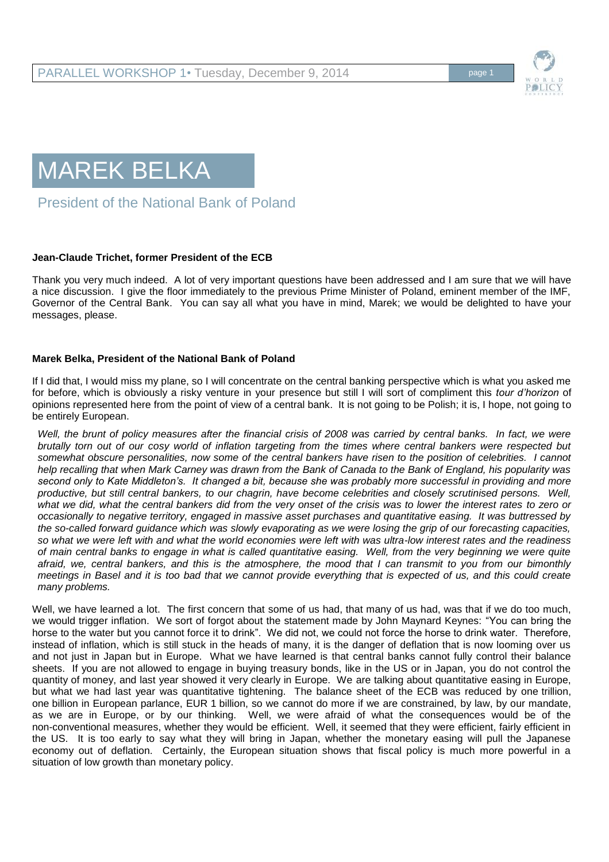



President of the National Bank of Poland

## **Jean-Claude Trichet, former President of the ECB**

Thank you very much indeed. A lot of very important questions have been addressed and I am sure that we will have a nice discussion. I give the floor immediately to the previous Prime Minister of Poland, eminent member of the IMF, Governor of the Central Bank. You can say all what you have in mind, Marek; we would be delighted to have your messages, please.

## **Marek Belka, President of the National Bank of Poland**

If I did that, I would miss my plane, so I will concentrate on the central banking perspective which is what you asked me for before, which is obviously a risky venture in your presence but still I will sort of compliment this *tour d'horizon* of opinions represented here from the point of view of a central bank. It is not going to be Polish; it is, I hope, not going to be entirely European.

*Well, the brunt of policy measures after the financial crisis of 2008 was carried by central banks. In fact, we were brutally torn out of our cosy world of inflation targeting from the times where central bankers were respected but somewhat obscure personalities, now some of the central bankers have risen to the position of celebrities. I cannot help recalling that when Mark Carney was drawn from the Bank of Canada to the Bank of England, his popularity was second only to Kate Middleton's. It changed a bit, because she was probably more successful in providing and more productive, but still central bankers, to our chagrin, have become celebrities and closely scrutinised persons. Well, what we did, what the central bankers did from the very onset of the crisis was to lower the interest rates to zero or occasionally to negative territory, engaged in massive asset purchases and quantitative easing. It was buttressed by the so-called forward guidance which was slowly evaporating as we were losing the grip of our forecasting capacities, so what we were left with and what the world economies were left with was ultra-low interest rates and the readiness of main central banks to engage in what is called quantitative easing. Well, from the very beginning we were quite afraid, we, central bankers, and this is the atmosphere, the mood that I can transmit to you from our bimonthly meetings in Basel and it is too bad that we cannot provide everything that is expected of us, and this could create many problems.* 

Well, we have learned a lot. The first concern that some of us had, that many of us had, was that if we do too much, we would trigger inflation. We sort of forgot about the statement made by John Maynard Keynes: "You can bring the horse to the water but you cannot force it to drink". We did not, we could not force the horse to drink water. Therefore, instead of inflation, which is still stuck in the heads of many, it is the danger of deflation that is now looming over us and not just in Japan but in Europe. What we have learned is that central banks cannot fully control their balance sheets. If you are not allowed to engage in buying treasury bonds, like in the US or in Japan, you do not control the quantity of money, and last year showed it very clearly in Europe. We are talking about quantitative easing in Europe, but what we had last year was quantitative tightening. The balance sheet of the ECB was reduced by one trillion, one billion in European parlance, EUR 1 billion, so we cannot do more if we are constrained, by law, by our mandate, as we are in Europe, or by our thinking. Well, we were afraid of what the consequences would be of the non-conventional measures, whether they would be efficient. Well, it seemed that they were efficient, fairly efficient in the US. It is too early to say what they will bring in Japan, whether the monetary easing will pull the Japanese economy out of deflation. Certainly, the European situation shows that fiscal policy is much more powerful in a situation of low growth than monetary policy.